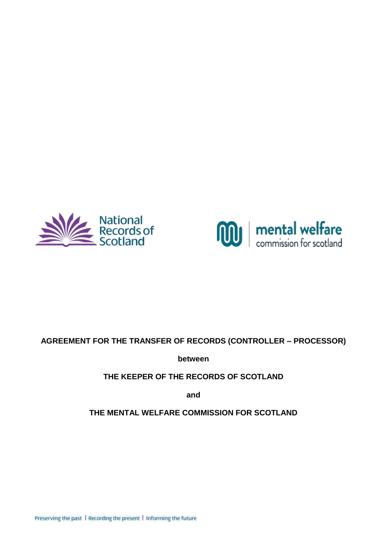



## **AGREEMENT FOR THE TRANSFER OF RECORDS (CONTROLLER – PROCESSOR)**

**between**

**THE KEEPER OF THE RECORDS OF SCOTLAND** 

**and**

**THE MENTAL WELFARE COMMISSION FOR SCOTLAND**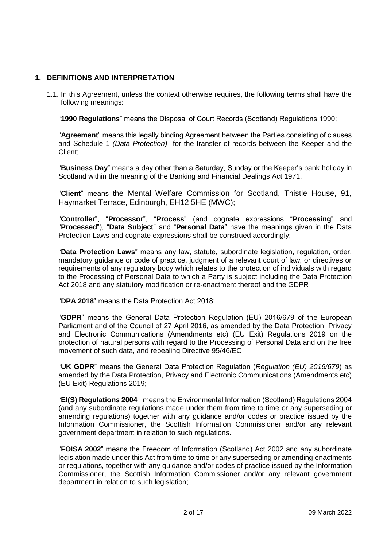#### <span id="page-1-1"></span><span id="page-1-0"></span>**1. DEFINITIONS AND INTERPRETATION**

1.1. In this Agreement, unless the context otherwise requires, the following terms shall have the following meanings:

"**1990 Regulations**" means the Disposal of Court Records (Scotland) Regulations 1990;

"**Agreement**" means this legally binding Agreement between the Parties consisting of clauses and Schedule 1 *(Data Protection)* for the transfer of records between the Keeper and the Client;

"**Business Day**" means a day other than a Saturday, Sunday or the Keeper's bank holiday in Scotland within the meaning of the Banking and Financial Dealings Act 1971.;

"**Client**" means the Mental Welfare Commission for Scotland, Thistle House, 91, Haymarket Terrace, Edinburgh, EH12 5HE (MWC);

"**Controller**", "**Processor**", "**Process**" (and cognate expressions "**Processing**" and "**Processed**"), "**Data Subject**" and "**Personal Data**" have the meanings given in the Data Protection Laws and cognate expressions shall be construed accordingly;

"**Data Protection Laws**" means any law, statute, subordinate legislation, regulation, order, mandatory guidance or code of practice, judgment of a relevant court of law, or directives or requirements of any regulatory body which relates to the protection of individuals with regard to the Processing of Personal Data to which a Party is subject including the Data Protection Act 2018 and any statutory modification or re-enactment thereof and the GDPR

"**DPA 2018**" means the Data Protection Act 2018;

"**GDPR**" means the General Data Protection Regulation (EU) 2016/679 of the European Parliament and of the Council of 27 April 2016, as amended by the Data Protection, Privacy and Electronic Communications (Amendments etc) (EU Exit) Regulations 2019 on the protection of natural persons with regard to the Processing of Personal Data and on the free movement of such data, and repealing Directive 95/46/EC

"**UK GDPR**" means the General Data Protection Regulation (*Regulation (EU) 2016/679*) as amended by the Data Protection, Privacy and Electronic Communications (Amendments etc) (EU Exit) Regulations 2019;

"**EI(S) Regulations 2004**" means the Environmental Information (Scotland) Regulations 2004 (and any subordinate regulations made under them from time to time or any superseding or amending regulations) together with any guidance and/or codes or practice issued by the Information Commissioner, the Scottish Information Commissioner and/or any relevant government department in relation to such regulations.

"**FOISA 2002**" means the Freedom of Information (Scotland) Act 2002 and any subordinate legislation made under this Act from time to time or any superseding or amending enactments or regulations, together with any guidance and/or codes of practice issued by the Information Commissioner, the Scottish Information Commissioner and/or any relevant government department in relation to such legislation;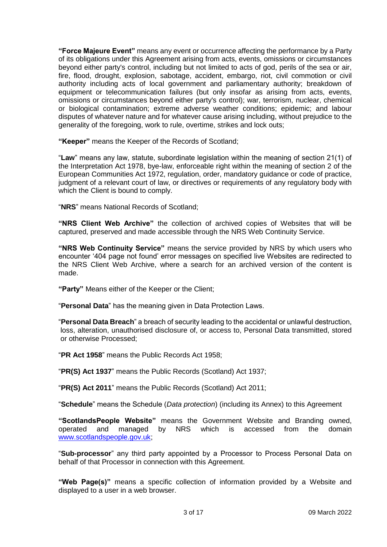**"Force Majeure Event"** means any event or occurrence affecting the performance by a Party of its obligations under this Agreement arising from acts, events, omissions or circumstances beyond either party's control, including but not limited to acts of god, perils of the sea or air, fire, flood, drought, explosion, sabotage, accident, embargo, riot, civil commotion or civil authority including acts of local government and parliamentary authority; breakdown of equipment or telecommunication failures (but only insofar as arising from acts, events, omissions or circumstances beyond either party's control); war, terrorism, nuclear, chemical or biological contamination; extreme adverse weather conditions; epidemic; and labour disputes of whatever nature and for whatever cause arising including, without prejudice to the generality of the foregoing, work to rule, overtime, strikes and lock outs;

**"Keeper"** means the Keeper of the Records of Scotland;

"**Law**" means any law, statute, subordinate legislation within the meaning of section 21(1) of the Interpretation Act 1978, bye-law, enforceable right within the meaning of section 2 of the European Communities Act 1972, regulation, order, mandatory guidance or code of practice, judgment of a relevant court of law, or directives or requirements of any regulatory body with which the Client is bound to comply.

"**NRS**" means National Records of Scotland;

**"NRS Client Web Archive"** the collection of archived copies of Websites that will be captured, preserved and made accessible through the NRS Web Continuity Service.

**"NRS Web Continuity Service"** means the service provided by NRS by which users who encounter '404 page not found' error messages on specified live Websites are redirected to the NRS Client Web Archive, where a search for an archived version of the content is made.

**"Party"** Means either of the Keeper or the Client;

"**Personal Data**" has the meaning given in Data Protection Laws.

"**Personal Data Breach**" a breach of security leading to the accidental or unlawful destruction, loss, alteration, unauthorised disclosure of, or access to, Personal Data transmitted, stored or otherwise Processed;

"**PR Act 1958**" means the Public Records Act 1958;

"**PR(S) Act 1937**" means the Public Records (Scotland) Act 1937;

"**PR(S) Act 2011**" means the Public Records (Scotland) Act 2011;

"**Schedule**" means the Schedule (*Data protection*) (including its Annex) to this Agreement

**"ScotlandsPeople Website"** means the Government Website and Branding owned, operated and managed by NRS which is accessed from the domain [www.scotlandspeople.gov.uk;](http://www.scotlandspeople.gov.uk/)

"**Sub-processor**" any third party appointed by a Processor to Process Personal Data on behalf of that Processor in connection with this Agreement.

**"Web Page(s)"** means a specific collection of information provided by a Website and displayed to a user in a web browser.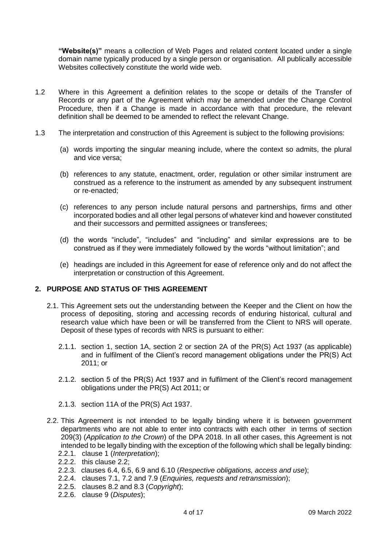**"Website(s)"** means a collection of Web Pages and related content located under a single domain name typically produced by a single person or organisation. All publically accessible Websites collectively constitute the world wide web.

- 1.2 Where in this Agreement a definition relates to the scope or details of the Transfer of Records or any part of the Agreement which may be amended under the Change Control Procedure, then if a Change is made in accordance with that procedure, the relevant definition shall be deemed to be amended to reflect the relevant Change.
- 1.3 The interpretation and construction of this Agreement is subject to the following provisions:
	- (a) words importing the singular meaning include, where the context so admits, the plural and vice versa;
	- (b) references to any statute, enactment, order, regulation or other similar instrument are construed as a reference to the instrument as amended by any subsequent instrument or re-enacted;
	- (c) references to any person include natural persons and partnerships, firms and other incorporated bodies and all other legal persons of whatever kind and however constituted and their successors and permitted assignees or transferees;
	- (d) the words "include", "includes" and "including" and similar expressions are to be construed as if they were immediately followed by the words "without limitation"; and
	- (e) headings are included in this Agreement for ease of reference only and do not affect the interpretation or construction of this Agreement.

#### **2. PURPOSE AND STATUS OF THIS AGREEMENT**

- 2.1. This Agreement sets out the understanding between the Keeper and the Client on how the process of depositing, storing and accessing records of enduring historical, cultural and research value which have been or will be transferred from the Client to NRS will operate. Deposit of these types of records with NRS is pursuant to either:
	- 2.1.1. section 1, section 1A, section 2 or section 2A of the PR(S) Act 1937 (as applicable) and in fulfilment of the Client's record management obligations under the PR(S) Act 2011; or
	- 2.1.2. section 5 of the PR(S) Act 1937 and in fulfilment of the Client's record management obligations under the PR(S) Act 2011; or
	- 2.1.3. section 11A of the PR(S) Act 1937.
- <span id="page-3-0"></span>2.2. This Agreement is not intended to be legally binding where it is between government departments who are not able to enter into contracts with each other in terms of section 209(3) (*Application to the Crown*) of the DPA 2018. In all other cases, this Agreement is not intended to be legally binding with the exception of the following which shall be legally binding:
	- 2.2.1. clause [1](#page-1-0) (*Interpretation*);
	- 2.2.2. this clause [2.2;](#page-3-0)
	- 2.2.3. clauses [6.4,](#page-5-0) [6.5,](#page-6-0) [6.9](#page-6-1) and [6.10](#page-6-2) (*Respective obligations, access and use*);
	- 2.2.4. clauses [7.1,](#page-6-3) [7.2](#page-6-4) and [7.9](#page-8-0) (*Enquiries, requests and retransmission*);
	- 2.2.5. clauses 8.2 and 8.3 (*Copyright*);
	- 2.2.6. clause [9](#page-8-1) (*Disputes*);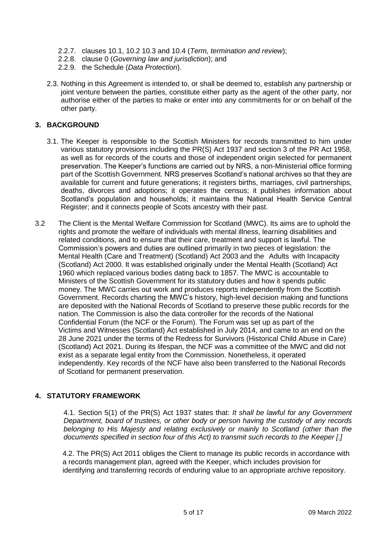- 2.2.7. clauses 10.1, 10.2 10.3 and 10.4 (*Term, termination and review*);
- 2.2.8. clause [0](#page-9-0) (*Governing law and jurisdiction*); and
- 2.2.9. the Schedule (*Data Protection*).
- 2.3. Nothing in this Agreement is intended to, or shall be deemed to, establish any partnership or joint venture between the parties, constitute either party as the agent of the other party, nor authorise either of the parties to make or enter into any commitments for or on behalf of the other party.

#### **3. BACKGROUND**

- 3.1. The Keeper is responsible to the Scottish Ministers for records transmitted to him under various statutory provisions including the PR(S) Act 1937 and section 3 of the PR Act 1958, as well as for records of the courts and those of independent origin selected for permanent preservation. The Keeper's functions are carried out by NRS, a non-Ministerial office forming part of the Scottish Government*.* NRS preserves Scotland's national archives so that they are available for current and future generations; it registers births, marriages, civil partnerships, deaths, divorces and adoptions; it operates the census; it publishes information about Scotland's population and households; it maintains the National Health Service Central Register; and it connects people of Scots ancestry with their past.
- 3.2 The Client is the Mental Welfare Commission for Scotland (MWC). Its aims are to uphold the rights and promote the welfare of individuals with mental illness, learning disabilities and related conditions, and to ensure that their care, treatment and support is lawful. The Commission's powers and duties are outlined primarily in two pieces of legislation: the Mental Health (Care and Treatment) (Scotland) Act 2003 and the Adults with Incapacity (Scotland) Act 2000. It was established originally under the Mental Health (Scotland) Act 1960 which replaced various bodies dating back to 1857. The MWC is accountable to Ministers of the Scottish Government for its statutory duties and how it spends public money. The MWC carries out work and produces reports independently from the Scottish Government. Records charting the MWC's history, high-level decision making and functions are deposited with the National Records of Scotland to preserve these public records for the nation. The Commission is also the data controller for the records of the National Confidential Forum (the NCF or the Forum). The Forum was set up as part of the Victims and Witnesses (Scotland) Act established in July 2014, and came to an end on the 28 June 2021 under the terms of the Redress for Survivors (Historical Child Abuse in Care) (Scotland) Act 2021. During its lifespan, the NCF was a committee of the MWC and did not exist as a separate legal entity from the Commission. Nonetheless, it operated independently. Key records of the NCF have also been transferred to the National Records of Scotland for permanent preservation.

#### **4. STATUTORY FRAMEWORK**

4.1. Section 5(1) of the PR(S) Act 1937 states that: *It shall be lawful for any Government Department, board of trustees, or other body or person having the custody of any records belonging to His Majesty and relating exclusively or mainly to Scotland (other than the documents specified in section four of this Act) to transmit such records to the Keeper [.]*

 4.2. The PR(S) Act 2011 obliges the Client to manage its public records in accordance with a records management plan, agreed with the Keeper, which includes provision for identifying and transferring records of enduring value to an appropriate archive repository.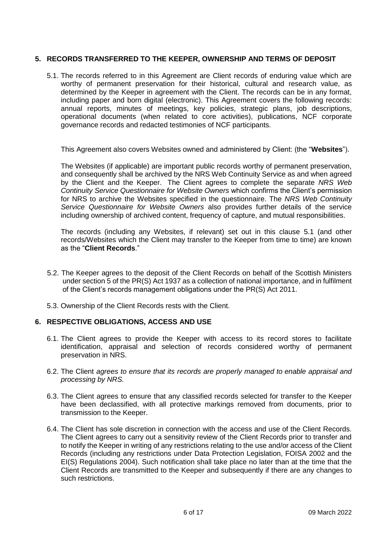#### <span id="page-5-1"></span>**5. RECORDS TRANSFERRED TO THE KEEPER, OWNERSHIP AND TERMS OF DEPOSIT**

<span id="page-5-2"></span>5.1. The records referred to in this Agreement are Client records of enduring value which are worthy of permanent preservation for their historical, cultural and research value, as determined by the Keeper in agreement with the Client. The records can be in any format, including paper and born digital (electronic). This Agreement covers the following records: annual reports, minutes of meetings, key policies, strategic plans, job descriptions, operational documents (when related to core activities), publications, NCF corporate governance records and redacted testimonies of NCF participants.

This Agreement also covers Websites owned and administered by Client: (the "**Websites**").

The Websites (if applicable) are important public records worthy of permanent preservation, and consequently shall be archived by the NRS Web Continuity Service as and when agreed by the Client and the Keeper. The Client agrees to complete the separate *NRS Web Continuity Service Questionnaire for Website Owners* which confirms the Client's permission for NRS to archive the Websites specified in the questionnaire. The *NRS Web Continuity Service Questionnaire for Website Owners* also provides further details of the service including ownership of archived content, frequency of capture, and mutual responsibilities.

The records (including any Websites, if relevant) set out in this clause [5.1](#page-5-2) (and other records/Websites which the Client may transfer to the Keeper from time to time) are known as the "**Client Records**."

- 5.2. The Keeper agrees to the deposit of the Client Records on behalf of the Scottish Ministers under section 5 of the PR(S) Act 1937 as a collection of national importance, and in fulfilment of the Client's records management obligations under the PR(S) Act 2011.
- 5.3. Ownership of the Client Records rests with the Client.

#### **6. RESPECTIVE OBLIGATIONS, ACCESS AND USE**

- 6.1. The Client agrees to provide the Keeper with access to its record stores to facilitate identification, appraisal and selection of records considered worthy of permanent preservation in NRS.
- 6.2. The Client *agrees to ensure that its records are properly managed to enable appraisal and processing by NRS.*
- 6.3. The Client agrees to ensure that any classified records selected for transfer to the Keeper have been declassified, with all protective markings removed from documents, prior to transmission to the Keeper.
- <span id="page-5-0"></span>6.4. The Client has sole discretion in connection with the access and use of the Client Records. The Client agrees to carry out a sensitivity review of the Client Records prior to transfer and to notify the Keeper in writing of any restrictions relating to the use and/or access of the Client Records (including any restrictions under Data Protection Legislation, FOISA 2002 and the EI(S) Regulations 2004). Such notification shall take place no later than at the time that the Client Records are transmitted to the Keeper and subsequently if there are any changes to such restrictions.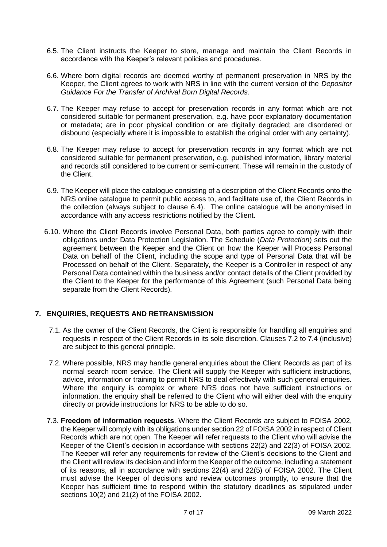- <span id="page-6-5"></span><span id="page-6-0"></span>6.5. The Client instructs the Keeper to store, manage and maintain the Client Records in accordance with the Keeper's relevant policies and procedures.
- 6.6. Where born digital records are deemed worthy of permanent preservation in NRS by the Keeper, the Client agrees to work with NRS in line with the current version of the *Depositor Guidance For the Transfer of Archival Born Digital Records*.
- 6.7. The Keeper may refuse to accept for preservation records in any format which are not considered suitable for permanent preservation, e.g. have poor explanatory documentation or metadata; are in poor physical condition or are digitally degraded; are disordered or disbound (especially where it is impossible to establish the original order with any certainty).
- 6.8. The Keeper may refuse to accept for preservation records in any format which are not considered suitable for permanent preservation, e.g. published information, library material and records still considered to be current or semi-current. These will remain in the custody of the Client.
- <span id="page-6-1"></span>6.9. The Keeper will place the catalogue consisting of a description of the Client Records onto the NRS online catalogue to permit public access to, and facilitate use of, the Client Records in the collection (always subject to clause [6.4\)](#page-5-0). The online catalogue will be anonymised in accordance with any access restrictions notified by the Client.
- <span id="page-6-2"></span>6.10. Where the Client Records involve Personal Data, both parties agree to comply with their obligations under Data Protection Legislation. The Schedule (*Data Protection*) sets out the agreement between the Keeper and the Client on how the Keeper will Process Personal Data on behalf of the Client, including the scope and type of Personal Data that will be Processed on behalf of the Client. Separately, the Keeper is a Controller in respect of any Personal Data contained within the business and/or contact details of the Client provided by the Client to the Keeper for the performance of this Agreement (such Personal Data being separate from the Client Records).

#### **7. ENQUIRIES, REQUESTS AND RETRANSMISSION**

- <span id="page-6-3"></span>7.1. As the owner of the Client Records, the Client is responsible for handling all enquiries and requests in respect of the Client Records in its sole discretion. Clauses [7.2](#page-6-4) to [7.4](#page-7-0) (inclusive) are subject to this general principle.
- <span id="page-6-4"></span>7.2. Where possible, NRS may handle general enquiries about the Client Records as part of its normal search room service. The Client will supply the Keeper with sufficient instructions, advice, information or training to permit NRS to deal effectively with such general enquiries. Where the enquiry is complex or where NRS does not have sufficient instructions or information, the enquiry shall be referred to the Client who will either deal with the enquiry directly or provide instructions for NRS to be able to do so.
- 7.3. **Freedom of information requests**. Where the Client Records are subject to FOISA 2002, the Keeper will comply with its obligations under section 22 of FOISA 2002 in respect of Client Records which are not open. The Keeper will refer requests to the Client who will advise the Keeper of the Client's decision in accordance with sections 22(2) and 22(3) of FOISA 2002. The Keeper will refer any requirements for review of the Client's decisions to the Client and the Client will review its decision and inform the Keeper of the outcome, including a statement of its reasons, all in accordance with sections 22(4) and 22(5) of FOISA 2002. The Client must advise the Keeper of decisions and review outcomes promptly, to ensure that the Keeper has sufficient time to respond within the statutory deadlines as stipulated under sections 10(2) and 21(2) of the FOISA 2002.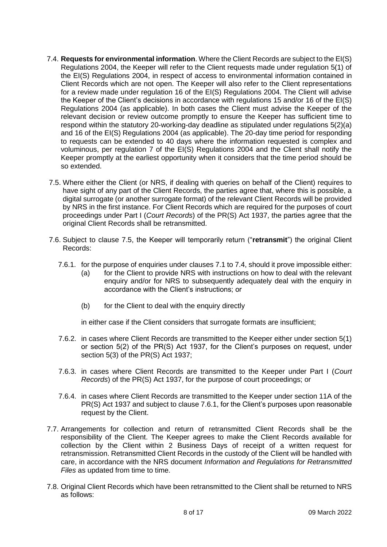- <span id="page-7-1"></span><span id="page-7-0"></span>7.4. **Requests for environmental information**. Where the Client Records are subject to the EI(S) Regulations 2004, the Keeper will refer to the Client requests made under regulation 5(1) of the EI(S) Regulations 2004, in respect of access to environmental information contained in Client Records which are not open. The Keeper will also refer to the Client representations for a review made under regulation 16 of the EI(S) Regulations 2004. The Client will advise the Keeper of the Client's decisions in accordance with regulations 15 and/or 16 of the EI(S) Regulations 2004 (as applicable). In both cases the Client must advise the Keeper of the relevant decision or review outcome promptly to ensure the Keeper has sufficient time to respond within the statutory 20-working-day deadline as stipulated under regulations 5(2)(a) and 16 of the EI(S) Regulations 2004 (as applicable). The 20-day time period for responding to requests can be extended to 40 days where the information requested is complex and voluminous, per regulation 7 of the EI(S) Regulations 2004 and the Client shall notify the Keeper promptly at the earliest opportunity when it considers that the time period should be so extended.
- <span id="page-7-2"></span>7.5. Where either the Client (or NRS, if dealing with queries on behalf of the Client) requires to have sight of any part of the Client Records, the parties agree that, where this is possible, a digital surrogate (or another surrogate format) of the relevant Client Records will be provided by NRS in the first instance. For Client Records which are required for the purposes of court proceedings under Part I (*Court Records*) of the PR(S) Act 1937, the parties agree that the original Client Records shall be retransmitted.
- <span id="page-7-3"></span>7.6. Subject to clause [7.5,](#page-7-2) the Keeper will temporarily return ("**retransmit**") the original Client Records:
	- 7.6.1. for the purpose of enquiries under clauses [7.1](#page-6-3) to [7.4,](#page-7-0) should it prove impossible either:
		- (a) for the Client to provide NRS with instructions on how to deal with the relevant enquiry and/or for NRS to subsequently adequately deal with the enquiry in accordance with the Client's instructions; or
		- (b) for the Client to deal with the enquiry directly

in either case if the Client considers that surrogate formats are insufficient;

- 7.6.2. in cases where Client Records are transmitted to the Keeper either under section 5(1) or section 5(2) of the PR(S) Act 1937, for the Client's purposes on request, under section 5(3) of the PR(S) Act 1937;
- 7.6.3. in cases where Client Records are transmitted to the Keeper under Part I (*Court Records*) of the PR(S) Act 1937, for the purpose of court proceedings; or
- 7.6.4. in cases where Client Records are transmitted to the Keeper under section 11A of the PR(S) Act 1937 and subject to clause [7.6.1,](#page-7-3) for the Client's purposes upon reasonable request by the Client.
- <span id="page-7-4"></span>7.7. Arrangements for collection and return of retransmitted Client Records shall be the responsibility of the Client. The Keeper agrees to make the Client Records available for collection by the Client within 2 Business Days of receipt of a written request for retransmission. Retransmitted Client Records in the custody of the Client will be handled with care, in accordance with the NRS document *Information and Regulations for Retransmitted Files* as updated from time to time.
- <span id="page-7-5"></span>7.8. Original Client Records which have been retransmitted to the Client shall be returned to NRS as follows: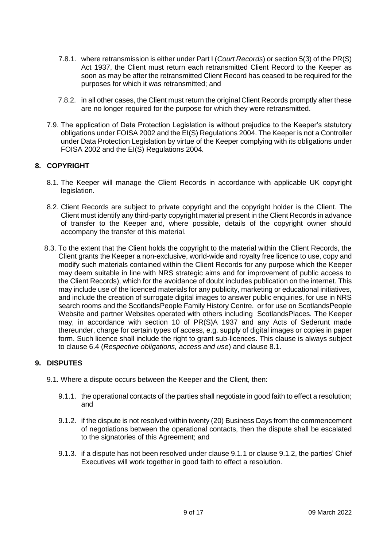- <span id="page-8-2"></span>7.8.1. where retransmission is either under Part I (*Court Records*) or section 5(3) of the PR(S) Act 1937, the Client must return each retransmitted Client Record to the Keeper as soon as may be after the retransmitted Client Record has ceased to be required for the purposes for which it was retransmitted; and
- 7.8.2. in all other cases, the Client must return the original Client Records promptly after these are no longer required for the purpose for which they were retransmitted.
- <span id="page-8-0"></span>7.9. The application of Data Protection Legislation is without prejudice to the Keeper's statutory obligations under FOISA 2002 and the EI(S) Regulations 2004. The Keeper is not a Controller under Data Protection Legislation by virtue of the Keeper complying with its obligations under FOISA 2002 and the EI(S) Regulations 2004.

#### **8. COPYRIGHT**

- 8.1. The Keeper will manage the Client Records in accordance with applicable UK copyright legislation.
- 8.2. Client Records are subject to private copyright and the copyright holder is the Client. The Client must identify any third-party copyright material present in the Client Records in advance of transfer to the Keeper and, where possible, details of the copyright owner should accompany the transfer of this material.
- 8.3. To the extent that the Client holds the copyright to the material within the Client Records, the Client grants the Keeper a non-exclusive, world-wide and royalty free licence to use, copy and modify such materials contained within the Client Records for any purpose which the Keeper may deem suitable in line with NRS strategic aims and for improvement of public access to the Client Records), which for the avoidance of doubt includes publication on the internet. This may include use of the licenced materials for any publicity, marketing or educational initiatives, and include the creation of surrogate digital images to answer public enquiries, for use in NRS search rooms and the ScotlandsPeople Family History Centre. or for use on ScotlandsPeople Website and partner Websites operated with others including ScotlandsPlaces*.* The Keeper may, in accordance with section 10 of PR(S)A 1937 and any Acts of Sederunt made thereunder, charge for certain types of access, e.g. supply of digital images or copies in paper form. Such licence shall include the right to grant sub-licences. This clause is always subject to clause [6.4](#page-5-0) (*Respective obligations, access and use*) and clause 8.1.

#### <span id="page-8-1"></span>**9. DISPUTES**

- <span id="page-8-4"></span><span id="page-8-3"></span>9.1. Where a dispute occurs between the Keeper and the Client, then:
	- 9.1.1. the operational contacts of the parties shall negotiate in good faith to effect a resolution; and
	- 9.1.2. if the dispute is not resolved within twenty (20) Business Days from the commencement of negotiations between the operational contacts, then the dispute shall be escalated to the signatories of this Agreement; and
	- 9.1.3. if a dispute has not been resolved under clause [9.1.1](#page-8-3) or clause [9.1.2,](#page-8-4) the parties' Chief Executives will work together in good faith to effect a resolution.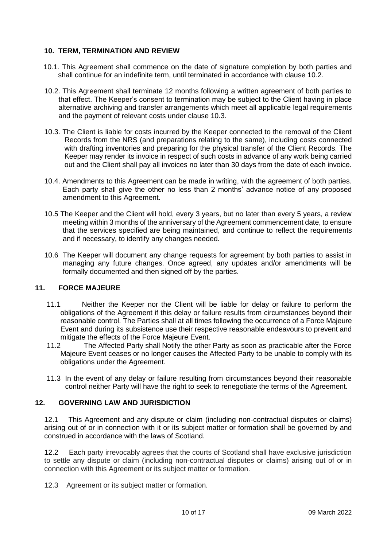#### <span id="page-9-1"></span>**10. TERM, TERMINATION AND REVIEW**

- 10.1. This Agreement shall commence on the date of signature completion by both parties and shall continue for an indefinite term, until terminated in accordance with clause 10.2.
- 10.2. This Agreement shall terminate 12 months following a written agreement of both parties to that effect. The Keeper's consent to termination may be subject to the Client having in place alternative archiving and transfer arrangements which meet all applicable legal requirements and the payment of relevant costs under clause 10.3.
- 10.3. The Client is liable for costs incurred by the Keeper connected to the removal of the Client Records from the NRS (and preparations relating to the same), including costs connected with drafting inventories and preparing for the physical transfer of the Client Records. The Keeper may render its invoice in respect of such costs in advance of any work being carried out and the Client shall pay all invoices no later than 30 days from the date of each invoice.
- 10.4. Amendments to this Agreement can be made in writing, with the agreement of both parties. Each party shall give the other no less than 2 months' advance notice of any proposed amendment to this Agreement.
- 10.5 The Keeper and the Client will hold, every 3 years, but no later than every 5 years, a review meeting within 3 months of the anniversary of the Agreement commencement date, to ensure that the services specified are being maintained, and continue to reflect the requirements and if necessary, to identify any changes needed.
- 10.6 The Keeper will document any change requests for agreement by both parties to assist in managing any future changes. Once agreed, any updates and/or amendments will be formally documented and then signed off by the parties.

#### **11. FORCE MAJEURE**

- 11.1 Neither the Keeper nor the Client will be liable for delay or failure to perform the obligations of the Agreement if this delay or failure results from circumstances beyond their reasonable control. The Parties shall at all times following the occurrence of a Force Majeure Event and during its subsistence use their respective reasonable endeavours to prevent and mitigate the effects of the Force Majeure Event.
- 11.2 The Affected Party shall Notify the other Party as soon as practicable after the Force Majeure Event ceases or no longer causes the Affected Party to be unable to comply with its obligations under the Agreement.
- 11.3 In the event of any delay or failure resulting from circumstances beyond their reasonable control neither Party will have the right to seek to renegotiate the terms of the Agreement.

#### <span id="page-9-0"></span>**12. GOVERNING LAW AND JURISDICTION**

12.1This Agreement and any dispute or claim (including non-contractual disputes or claims) arising out of or in connection with it or its subject matter or formation shall be governed by and construed in accordance with the laws of Scotland.

12.2 Each party irrevocably agrees that the courts of Scotland shall have exclusive jurisdiction to settle any dispute or claim (including non-contractual disputes or claims) arising out of or in connection with this Agreement or its subject matter or formation.

12.3 Agreement or its subject matter or formation.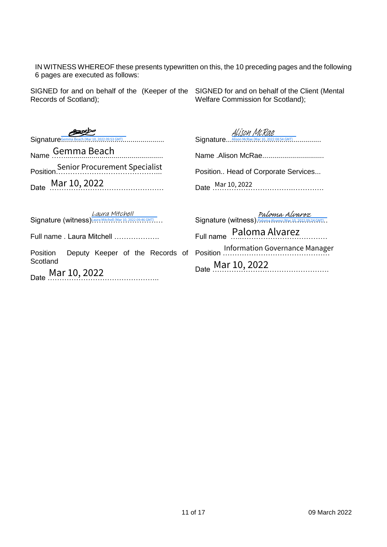IN WITNESS WHEREOF these presents typewritten on this, the 10 preceding pages and the following 6 pages are executed as follows:

SIGNED for and on behalf of the (Keeper of the Records of Scotland);

SIGNED for and on behalf of the Client (Mental Welfare Commission for Scotland);

 $Sianature^{Genma\,Beach\,(Mar\,10,\,2022\,09:53\,GMT)}$ Name Gemma Beach Position……………………………………... Date Mar 10, 2022 ture<sup>Gemma Beach Mar.10, 2022 09:53 GMT)<br>
Senior Procuremen<br>
Mar 10, 2022<br>
ture (witness) Laura Mitchel Mar<br>
ame . Laura Mitchell ....<br>
on Deputy Keeper<br>
amd<br>
Mar 10, 2022</sup> Mar 10, 2022 <sup>S</sup>enior Procuremen<sup>t</sup> Specialis<sup>t</sup>

Signature....<sup>Alison McRae (Mar 10, 2022 08:54 GMT)</sup>............... Alison McRae

Name .Alison McRae............................... Position.. Head of Corporate Services... Date …………………………….…………. Mar 10, 2022

Signature (witness) Laura Mitchell (Mar 10, 2022 09:46 GMT)... Laura Mitchell

Full name . Laura Mitchell ……………….

Position Deputy Keeper of the Records of Scotland

Date Mar 10, 2022

Signature (witness) Paloma Alvarez (Mar 10, 2022 09:24 GMT). Full name …..……………………………… Position ……………………………………… Mar 10, 2022 <sup>I</sup>nformation Governance Manager Date <u>Mar 10</u>, 2022 Paloma Alvarez Paloma Alvarez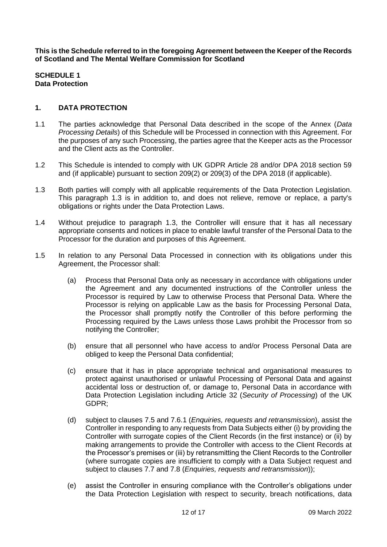<span id="page-11-3"></span>**This is the Schedule referred to in the foregoing Agreement between the Keeper of the Records of Scotland and The Mental Welfare Commission for Scotland**

#### **SCHEDULE 1 Data Protection**

#### <span id="page-11-2"></span>**1. DATA PROTECTION**

- 1.1 The parties acknowledge that Personal Data described in the scope of the Annex (*Data Processing Details*) of this Schedule will be Processed in connection with this Agreement. For the purposes of any such Processing, the parties agree that the Keeper acts as the Processor and the Client acts as the Controller.
- 1.2 This Schedule is intended to comply with UK GDPR Article 28 and/or DPA 2018 section 59 and (if applicable) pursuant to section 209(2) or 209(3) of the DPA 2018 (if applicable).
- <span id="page-11-0"></span>1.3 Both parties will comply with all applicable requirements of the Data Protection Legislation. This paragraph [1.3](#page-11-0) is in addition to, and does not relieve, remove or replace, a party's obligations or rights under the Data Protection Laws.
- 1.4 Without prejudice to paragraph [1.3,](#page-11-0) the Controller will ensure that it has all necessary appropriate consents and notices in place to enable lawful transfer of the Personal Data to the Processor for the duration and purposes of this Agreement.
- <span id="page-11-4"></span><span id="page-11-1"></span>1.5 In relation to any Personal Data Processed in connection with its obligations under this Agreement, the Processor shall:
	- (a) Process that Personal Data only as necessary in accordance with obligations under the Agreement and any documented instructions of the Controller unless the Processor is required by Law to otherwise Process that Personal Data. Where the Processor is relying on applicable Law as the basis for Processing Personal Data, the Processor shall promptly notify the Controller of this before performing the Processing required by the Laws unless those Laws prohibit the Processor from so notifying the Controller;
	- (b) ensure that all personnel who have access to and/or Process Personal Data are obliged to keep the Personal Data confidential;
	- (c) ensure that it has in place appropriate technical and organisational measures to protect against unauthorised or unlawful Processing of Personal Data and against accidental loss or destruction of, or damage to, Personal Data in accordance with Data Protection Legislation including Article 32 (*Security of Processing*) of the UK GDPR;
	- (d) subject to clauses [7.5](#page-7-2) and [7.6.1](#page-7-3) (*Enquiries, requests and retransmission*), assist the Controller in responding to any requests from Data Subjects either (i) by providing the Controller with surrogate copies of the Client Records (in the first instance) or (ii) by making arrangements to provide the Controller with access to the Client Records at the Processor's premises or (iii) by retransmitting the Client Records to the Controller (where surrogate copies are insufficient to comply with a Data Subject request and subject to clauses [7.7](#page-7-4) and [7.8](#page-7-5) (*Enquiries, requests and retransmission*));
	- (e) assist the Controller in ensuring compliance with the Controller's obligations under the Data Protection Legislation with respect to security, breach notifications, data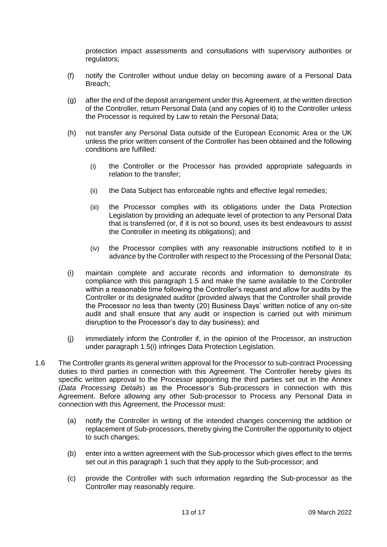<span id="page-12-1"></span>protection impact assessments and consultations with supervisory authorities or regulators;

- (f) notify the Controller without undue delay on becoming aware of a Personal Data Breach;
- (g) after the end of the deposit arrangement under this Agreement, at the written direction of the Controller, return Personal Data (and any copies of it) to the Controller unless the Processor is required by Law to retain the Personal Data;
- (h) not transfer any Personal Data outside of the European Economic Area or the UK unless the prior written consent of the Controller has been obtained and the following conditions are fulfilled:
	- (i) the Controller or the Processor has provided appropriate safeguards in relation to the transfer;
	- (ii) the Data Subject has enforceable rights and effective legal remedies;
	- (iii) the Processor complies with its obligations under the Data Protection Legislation by providing an adequate level of protection to any Personal Data that is transferred (or, if it is not so bound, uses its best endeavours to assist the Controller in meeting its obligations); and
	- (iv) the Processor complies with any reasonable instructions notified to it in advance by the Controller with respect to the Processing of the Personal Data;
- <span id="page-12-0"></span>(i) maintain complete and accurate records and information to demonstrate its compliance with this paragraph [1.5](#page-11-1) and make the same available to the Controller within a reasonable time following the Controller's request and allow for audits by the Controller or its designated auditor (provided always that the Controller shall provide the Processor no less than twenty (20) Business Days' written notice of any on-site audit and shall ensure that any audit or inspection is carried out with minimum disruption to the Processor's day to day business); and
- (j) immediately inform the Controller if, in the opinion of the Processor, an instruction under paragraph [1.5\(i\)](#page-11-1) infringes Data Protection Legislation.
- 1.6 The Controller grants its general written approval for the Processor to sub-contract Processing duties to third parties in connection with this Agreement. The Controller hereby gives its specific written approval to the Processor appointing the third parties set out in the Annex (*Data Processing Details*) as the Processor's Sub-processors in connection with this Agreement. Before allowing any other Sub-processor to Process any Personal Data in connection with this Agreement, the Processor must:
	- (a) notify the Controller in writing of the intended changes concerning the addition or replacement of Sub-processors, thereby giving the Controller the opportunity to object to such changes;
	- (b) enter into a written agreement with the Sub-processor which gives effect to the terms set out in this paragraph [1](#page-11-2) such that they apply to the Sub-processor; and
	- (c) provide the Controller with such information regarding the Sub-processor as the Controller may reasonably require.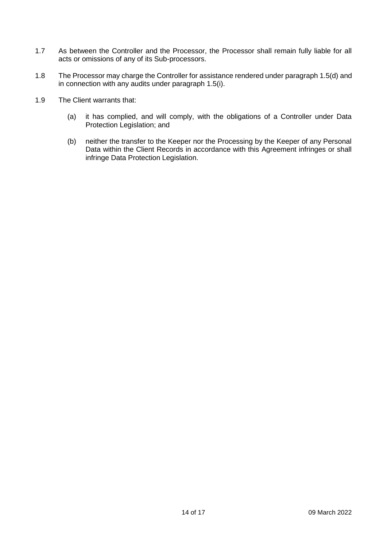- 1.7 As between the Controller and the Processor, the Processor shall remain fully liable for all acts or omissions of any of its Sub-processors.
- 1.8 The Processor may charge the Controller for assistance rendered under paragrap[h 1.5\(d\)](#page-11-4) and in connection with any audits under paragraph [1.5\(i\).](#page-12-0)
- 1.9 The Client warrants that:
	- (a) it has complied, and will comply, with the obligations of a Controller under Data Protection Legislation; and
	- (b) neither the transfer to the Keeper nor the Processing by the Keeper of any Personal Data within the Client Records in accordance with this Agreement infringes or shall infringe Data Protection Legislation.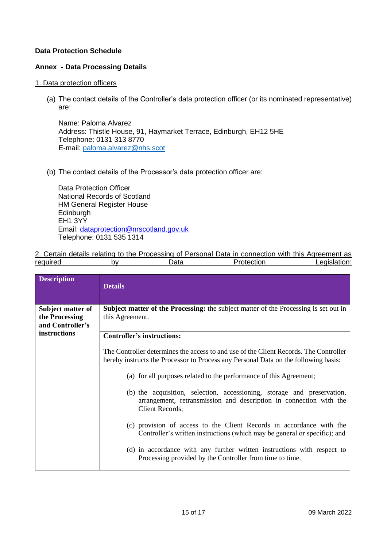#### **Data Protection Schedule**

#### **Annex - Data Processing Details**

#### 1. Data protection officers

(a) The contact details of the Controller's data protection officer (or its nominated representative) are:

Name: Paloma Alvarez Address: Thistle House, 91, Haymarket Terrace, Edinburgh, EH12 5HE Telephone: 0131 313 8770 E-mail: paloma.alvarez@nhs.scot

(b) The contact details of the Processor's data protection officer are:

Data Protection Officer National Records of Scotland HM General Register House **Edinburgh** EH1 3YY Email: [dataprotection@nrscotland.gov.uk](mailto:dataprotection@nrscotland.gov.uk) Telephone: 0131 535 1314

|          |    |      | 2. Certain details relating to the Processing of Personal Data in connection with this Agreement as |              |
|----------|----|------|-----------------------------------------------------------------------------------------------------|--------------|
| required | b٧ | Data | Protection                                                                                          | Legislation: |

| <b>Description</b>                                      | <b>Details</b>                                                                                                                                                               |
|---------------------------------------------------------|------------------------------------------------------------------------------------------------------------------------------------------------------------------------------|
| Subject matter of<br>the Processing<br>and Controller's | <b>Subject matter of the Processing:</b> the subject matter of the Processing is set out in<br>this Agreement.                                                               |
| instructions                                            | <b>Controller's instructions:</b>                                                                                                                                            |
|                                                         | The Controller determines the access to and use of the Client Records. The Controller<br>hereby instructs the Processor to Process any Personal Data on the following basis: |
|                                                         | (a) for all purposes related to the performance of this Agreement;                                                                                                           |
|                                                         | (b) the acquisition, selection, accessioning, storage and preservation,<br>arrangement, retransmission and description in connection with the<br><b>Client Records;</b>      |
|                                                         | (c) provision of access to the Client Records in accordance with the<br>Controller's written instructions (which may be general or specific); and                            |
|                                                         | (d) in accordance with any further written instructions with respect to<br>Processing provided by the Controller from time to time.                                          |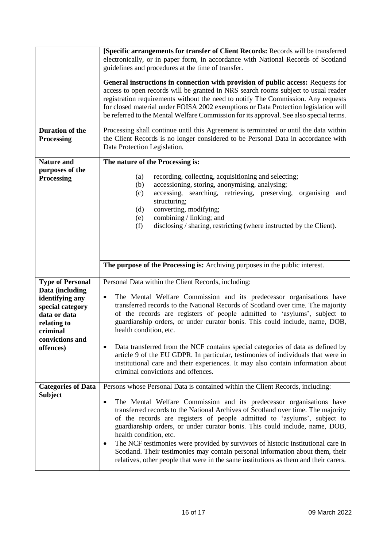|                                                                                                                                                              | [Specific arrangements for transfer of Client Records: Records will be transferred<br>electronically, or in paper form, in accordance with National Records of Scotland<br>guidelines and procedures at the time of transfer.<br>General instructions in connection with provision of public access: Requests for<br>access to open records will be granted in NRS search rooms subject to usual reader<br>registration requirements without the need to notify The Commission. Any requests<br>for closed material under FOISA 2002 exemptions or Data Protection legislation will<br>be referred to the Mental Welfare Commission for its approval. See also special terms.                                           |  |  |
|--------------------------------------------------------------------------------------------------------------------------------------------------------------|-------------------------------------------------------------------------------------------------------------------------------------------------------------------------------------------------------------------------------------------------------------------------------------------------------------------------------------------------------------------------------------------------------------------------------------------------------------------------------------------------------------------------------------------------------------------------------------------------------------------------------------------------------------------------------------------------------------------------|--|--|
| <b>Duration of the</b><br>Processing                                                                                                                         | Processing shall continue until this Agreement is terminated or until the data within<br>the Client Records is no longer considered to be Personal Data in accordance with<br>Data Protection Legislation.                                                                                                                                                                                                                                                                                                                                                                                                                                                                                                              |  |  |
| <b>Nature and</b><br>purposes of the<br><b>Processing</b>                                                                                                    | The nature of the Processing is:<br>recording, collecting, acquisitioning and selecting;<br>(a)<br>accessioning, storing, anonymising, analysing;<br>(b)<br>accessing, searching, retrieving, preserving, organising and<br>(c)<br>structuring;<br>converting, modifying;<br>(d)<br>combining / linking; and<br>(e)<br>disclosing / sharing, restricting (where instructed by the Client).<br>(f)                                                                                                                                                                                                                                                                                                                       |  |  |
|                                                                                                                                                              | The purpose of the Processing is: Archiving purposes in the public interest.                                                                                                                                                                                                                                                                                                                                                                                                                                                                                                                                                                                                                                            |  |  |
| <b>Type of Personal</b><br>Data (including<br>identifying any<br>special category<br>data or data<br>relating to<br>criminal<br>convictions and<br>offences) | Personal Data within the Client Records, including:<br>The Mental Welfare Commission and its predecessor organisations have<br>$\bullet$<br>transferred records to the National Records of Scotland over time. The majority<br>of the records are registers of people admitted to 'asylums', subject to<br>guardianship orders, or under curator bonis. This could include, name, DOB,<br>health condition, etc.<br>Data transferred from the NCF contains special categories of data as defined by<br>$\bullet$                                                                                                                                                                                                        |  |  |
|                                                                                                                                                              | article 9 of the EU GDPR. In particular, testimonies of individuals that were in<br>institutional care and their experiences. It may also contain information about<br>criminal convictions and offences.                                                                                                                                                                                                                                                                                                                                                                                                                                                                                                               |  |  |
| <b>Categories of Data</b><br><b>Subject</b>                                                                                                                  | Persons whose Personal Data is contained within the Client Records, including:<br>The Mental Welfare Commission and its predecessor organisations have<br>$\bullet$<br>transferred records to the National Archives of Scotland over time. The majority<br>of the records are registers of people admitted to 'asylums', subject to<br>guardianship orders, or under curator bonis. This could include, name, DOB,<br>health condition, etc.<br>The NCF testimonies were provided by survivors of historic institutional care in<br>$\bullet$<br>Scotland. Their testimonies may contain personal information about them, their<br>relatives, other people that were in the same institutions as them and their carers. |  |  |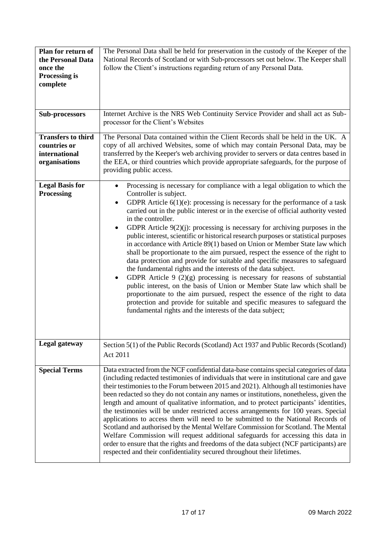| Plan for return of<br>the Personal Data<br>once the<br><b>Processing is</b><br>complete | The Personal Data shall be held for preservation in the custody of the Keeper of the<br>National Records of Scotland or with Sub-processors set out below. The Keeper shall<br>follow the Client's instructions regarding return of any Personal Data.                                                                                                                                                                                                                                                                                                                                                                                                                                                                                                                                                                                                                                                                                                                                                                                                                                                                                                                                                   |
|-----------------------------------------------------------------------------------------|----------------------------------------------------------------------------------------------------------------------------------------------------------------------------------------------------------------------------------------------------------------------------------------------------------------------------------------------------------------------------------------------------------------------------------------------------------------------------------------------------------------------------------------------------------------------------------------------------------------------------------------------------------------------------------------------------------------------------------------------------------------------------------------------------------------------------------------------------------------------------------------------------------------------------------------------------------------------------------------------------------------------------------------------------------------------------------------------------------------------------------------------------------------------------------------------------------|
| Sub-processors                                                                          | Internet Archive is the NRS Web Continuity Service Provider and shall act as Sub-<br>processor for the Client's Websites                                                                                                                                                                                                                                                                                                                                                                                                                                                                                                                                                                                                                                                                                                                                                                                                                                                                                                                                                                                                                                                                                 |
| <b>Transfers to third</b><br>countries or<br>international<br>organisations             | The Personal Data contained within the Client Records shall be held in the UK. A<br>copy of all archived Websites, some of which may contain Personal Data, may be<br>transferred by the Keeper's web archiving provider to servers or data centres based in<br>the EEA, or third countries which provide appropriate safeguards, for the purpose of<br>providing public access.                                                                                                                                                                                                                                                                                                                                                                                                                                                                                                                                                                                                                                                                                                                                                                                                                         |
| <b>Legal Basis for</b><br><b>Processing</b>                                             | Processing is necessary for compliance with a legal obligation to which the<br>$\bullet$<br>Controller is subject.<br>GDPR Article $6(1)(e)$ : processing is necessary for the performance of a task<br>$\bullet$<br>carried out in the public interest or in the exercise of official authority vested<br>in the controller.<br>GDPR Article $9(2)(j)$ : processing is necessary for archiving purposes in the<br>public interest, scientific or historical research purposes or statistical purposes<br>in accordance with Article 89(1) based on Union or Member State law which<br>shall be proportionate to the aim pursued, respect the essence of the right to<br>data protection and provide for suitable and specific measures to safeguard<br>the fundamental rights and the interests of the data subject.<br>GDPR Article $9(2)(g)$ processing is necessary for reasons of substantial<br>public interest, on the basis of Union or Member State law which shall be<br>proportionate to the aim pursued, respect the essence of the right to data<br>protection and provide for suitable and specific measures to safeguard the<br>fundamental rights and the interests of the data subject; |
| Legal gateway                                                                           | Section 5(1) of the Public Records (Scotland) Act 1937 and Public Records (Scotland)<br>Act 2011                                                                                                                                                                                                                                                                                                                                                                                                                                                                                                                                                                                                                                                                                                                                                                                                                                                                                                                                                                                                                                                                                                         |
| <b>Special Terms</b>                                                                    | Data extracted from the NCF confidential data-base contains special categories of data<br>(including redacted testimonies of individuals that were in institutional care and gave<br>their testimonies to the Forum between 2015 and 2021). Although all testimonies have<br>been redacted so they do not contain any names or institutions, nonetheless, given the<br>length and amount of qualitative information, and to protect participants' identities,<br>the testimonies will be under restricted access arrangements for 100 years. Special<br>applications to access them will need to be submitted to the National Records of<br>Scotland and authorised by the Mental Welfare Commission for Scotland. The Mental<br>Welfare Commission will request additional safeguards for accessing this data in<br>order to ensure that the rights and freedoms of the data subject (NCF participants) are<br>respected and their confidentiality secured throughout their lifetimes.                                                                                                                                                                                                                  |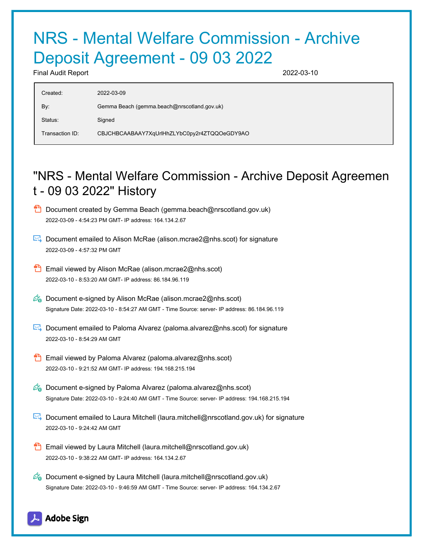# NRS - Mental Welfare Commission - Archive Deposit Agreement - 09 03 2022

Final Audit Report 2022-03-10

| Created:        | 2022-03-09                                   |
|-----------------|----------------------------------------------|
| By:             | Gemma Beach (gemma.beach@nrscotland.gov.uk)  |
| Status:         | Signed                                       |
| Transaction ID: | CBJCHBCAABAAY7XqUrlHhZLYbC0py2r4ZTQQOeGDY9AO |

# "NRS - Mental Welfare Commission - Archive Deposit Agreemen t - 09 03 2022" History

- **D** Document created by Gemma Beach (gemma.beach@nrscotland.gov.uk) 2022-03-09 - 4:54:23 PM GMT- IP address: 164.134.2.67
- Document emailed to Alison McRae (alison.mcrae2@nhs.scot) for signature 2022-03-09 - 4:57:32 PM GMT
- **Email viewed by Alison McRae (alison.mcrae2@nhs.scot)** 2022-03-10 - 8:53:20 AM GMT- IP address: 86.184.96.119
- $\mathscr{D}_{\bullet}$  Document e-signed by Alison McRae (alison.mcrae2@nhs.scot) Signature Date: 2022-03-10 - 8:54:27 AM GMT - Time Source: server- IP address: 86.184.96.119
- Document emailed to Paloma Alvarez (paloma.alvarez@nhs.scot) for signature 2022-03-10 - 8:54:29 AM GMT
- **Email viewed by Paloma Alvarez (paloma.alvarez@nhs.scot)** 2022-03-10 - 9:21:52 AM GMT- IP address: 194.168.215.194
- $\mathscr{O}_\bullet$  Document e-signed by Paloma Alvarez (paloma.alvarez@nhs.scot) Signature Date: 2022-03-10 - 9:24:40 AM GMT - Time Source: server- IP address: 194.168.215.194
- Document emailed to Laura Mitchell (laura.mitchell@nrscotland.gov.uk) for signature 2022-03-10 - 9:24:42 AM GMT
- **Email viewed by Laura Mitchell (laura.mitchell@nrscotland.gov.uk)** 2022-03-10 - 9:38:22 AM GMT- IP address: 164.134.2.67
- $\mathcal{O}_0$  Document e-signed by Laura Mitchell (laura.mitchell@nrscotland.gov.uk) Signature Date: 2022-03-10 - 9:46:59 AM GMT - Time Source: server- IP address: 164.134.2.67

### **Adobe Sign**